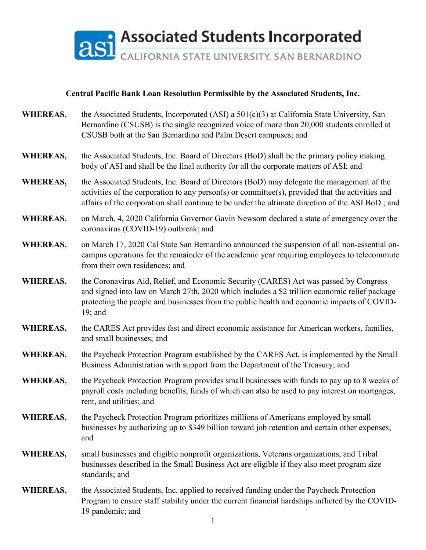

## **Central Pacific Bank Loan Resolution Permissible by the Associated Students, Inc.**

- **WHEREAS,** the Associated Students, Incorporated (ASI) a 501(c)(3) at California State University, San Bernardino (CSUSB) is the single recognized voice of more than 20,000 students enrolled at CSUSB both at the San Bernardino and Palm Desert campuses; and
- **WHEREAS,** the Associated Students, Inc. Board of Directors (BoD) shall be the primary policy making body of ASI and shall be the final authority for all the corporate matters of ASI; and
- **WHEREAS,** the Associated Students, Inc. Board of Directors (BoD) may delegate the management of the activities of the corporation to any person(s) or committee(s), provided that the activities and affairs of the corporation shall continue to be under the ultimate direction of the ASI BoD.; and
- **WHEREAS,** on March, 4, 2020 California Governor Gavin Newsom declared a state of emergency over the coronavirus (COVID-19) outbreak; and
- **WHEREAS,** on March 17, 2020 Cal State San Bernardino announced the suspension of all non-essential oncampus operations for the remainder of the academic year requiring employees to telecommute from their own residences; and
- **WHEREAS,** the Coronavirus Aid, Relief, and Economic Security (CARES) Act was passed by Congress and signed into law on March 27th, 2020 which includes a \$2 trillion economic relief package protecting the people and businesses from the public health and economic impacts of COVID-19; and
- **WHEREAS,** the CARES Act provides fast and direct economic assistance for American workers, families, and small businesses; and
- **WHEREAS,** the Paycheck Protection Program established by the CARES Act, is implemented by the Small Business Administration with support from the Department of the Treasury; and
- **WHEREAS,** the Paycheck Protection Program provides small businesses with funds to pay up to 8 weeks of payroll costs including benefits, funds of which can also be used to pay interest on mortgages, rent, and utilities; and
- **WHEREAS,** the Paycheck Protection Program prioritizes millions of Americans employed by small businesses by authorizing up to \$349 billion toward job retention and certain other expenses; and
- **WHEREAS,** small businesses and eligible nonprofit organizations, Veterans organizations, and Tribal businesses described in the Small Business Act are eligible if they also meet program size standards; and
- **WHEREAS,** the Associated Students, Inc. applied to received funding under the Paycheck Protection Program to ensure staff stability under the current financial hardships inflicted by the COVID-19 pandemic; and